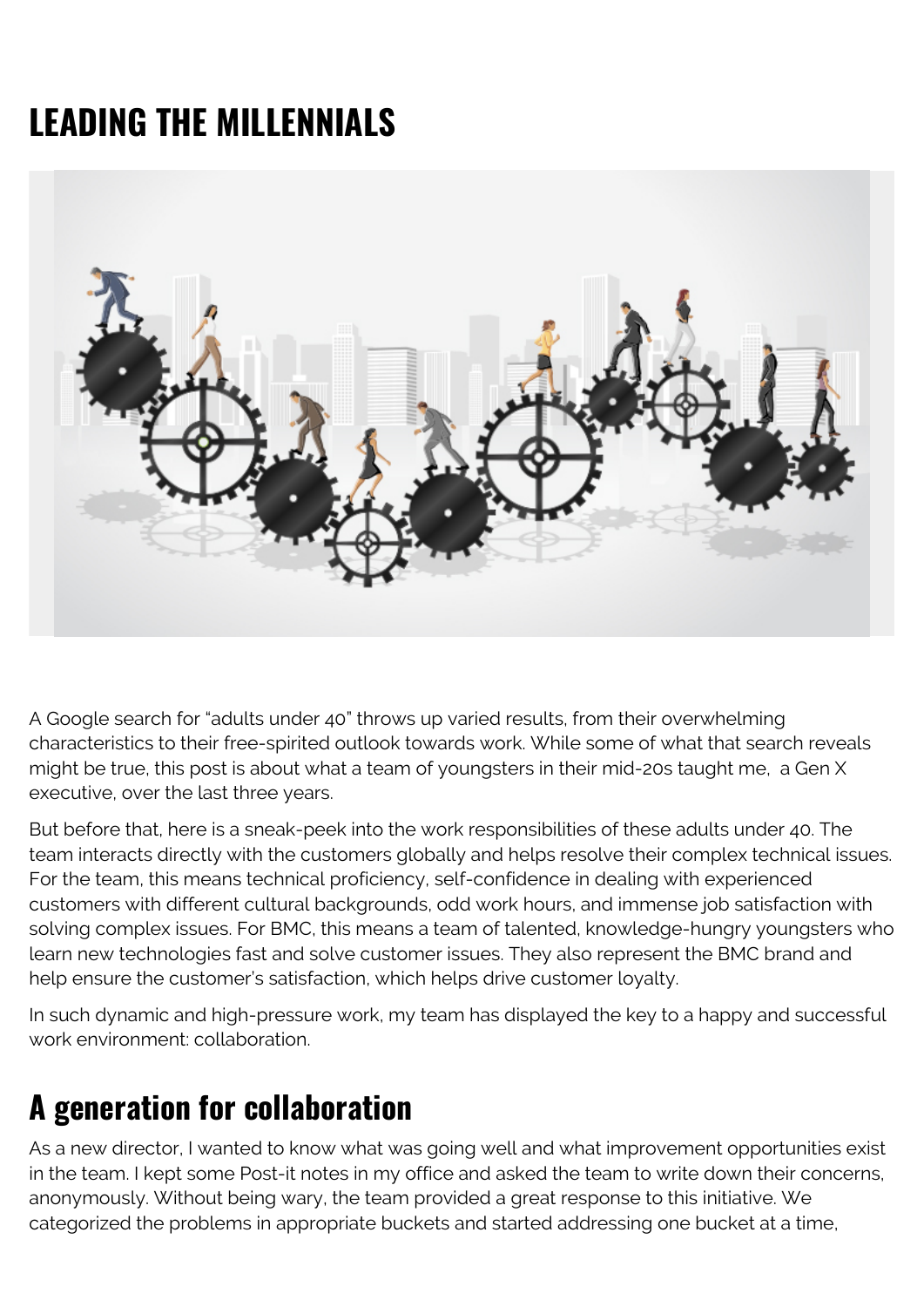## **LEADING THE MILLENNIALS**



A Google search for "adults under 40" throws up varied results, from their overwhelming characteristics to their free-spirited outlook towards work. While some of what that search reveals might be true, this post is about what a team of youngsters in their mid-20s taught me, a Gen X executive, over the last three years.

But before that, here is a sneak-peek into the work responsibilities of these adults under 40. The team interacts directly with the customers globally and helps resolve their complex technical issues. For the team, this means technical proficiency, self-confidence in dealing with experienced customers with different cultural backgrounds, odd work hours, and immense job satisfaction with solving complex issues. For BMC, this means a team of talented, knowledge-hungry youngsters who learn new technologies fast and solve customer issues. They also represent the BMC brand and help ensure the customer's satisfaction, which helps drive customer loyalty.

In such dynamic and high-pressure work, my team has displayed the key to a happy and successful work environment: collaboration.

## **A generation for collaboration**

As a new director, I wanted to know what was going well and what improvement opportunities exist in the team. I kept some Post-it notes in my office and asked the team to write down their concerns, anonymously. Without being wary, the team provided a great response to this initiative. We categorized the problems in appropriate buckets and started addressing one bucket at a time,